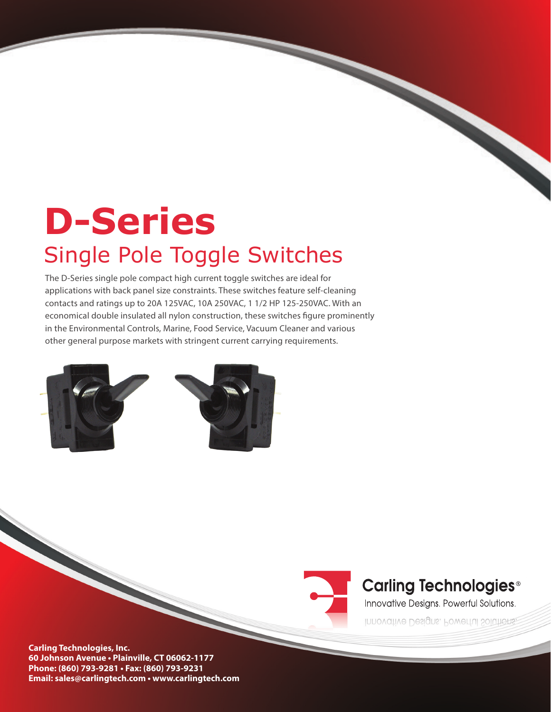# **D-Series**  Single Pole Toggle Switches

The D-Series single pole compact high current toggle switches are ideal for applications with back panel size constraints. These switches feature self-cleaning contacts and ratings up to 20A 125VAC, 10A 250VAC, 1 1/2 HP 125-250VAC. With an economical double insulated all nylon construction, these switches figure prominently in the Environmental Controls, Marine, Food Service, Vacuum Cleaner and various other general purpose markets with stringent current carrying requirements.





## **Carling Technologies<sup>®</sup>**

Innovative Designs. Powerful Solutions.

Innovative Designs. Powerful Solutions.

**Carling Technologies, Inc. 60 Johnson Avenue • Plainville, CT 06062-1177 Phone: (860) 793-9281 • Fax: (860) 793-9231 Email: sales@carlingtech.com • www.carlingtech.com**